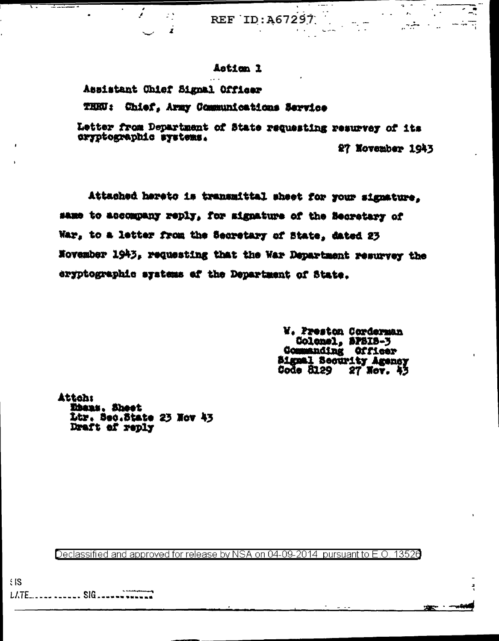REF ID:A67297

## Asticn 1

Assistant Chief Signal Officer

 $\mathcal{L}^{\mathcal{A}}$  $\mathbf{r}$ 

<del>. . . . . . . .</del>

THEU: Chief, Army Communications Service

Letter from Department of State requesting resurvey of its oryptographic systems.

27 November 1943

Ę

**DEAR AND A PARTICULAR** 

Attached hareto is transmittal sheet for your signature. same to accompany reply, for signature of the Becretary of War, to a letter from the Secretary of State, dated 23 November 1943, requesting that the War Department resurvey the eryptographic systems of the Department of State.

> W. Preston Corderman Colemel, SPSIS-3<br>Commanding Officer Signal Security Agency<br>Code 8129 27 Nov. 43

**Attoh: Ebens.** Sheet Ltr. Bec.State 23 Nov 43 Draft of reply

Declassified and approved for release by NSA on 04-09-2014 pursuant to E.O. 13520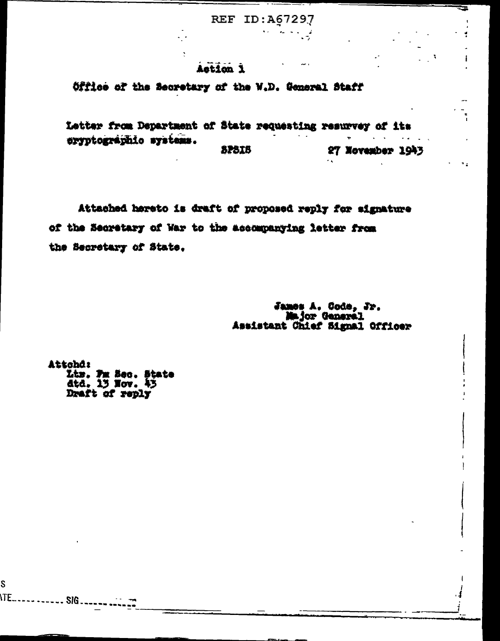**REF ID: A67297** 

 $\mathbf{v}$ 

الان المحاجة

A.

î.

٠.

## Action 1

 $\ddot{\cdot}$ 

Office of the Secretary of the W.D. General Staff

Letter from Department of State requesting resurvey of its eryptographic systems. **SPSIS** 27 November 1943

Attached hereto is draft of proposed reply for signature of the Secretary of War to the accompanying letter from the Secretary of State.

> James A. Code, Jr.<br>Major General Assistant Chief Signal Officer

Attohd: Liz. Fm Sec. State<br>dtd. 13 Nov. 43<br>Draft of reply

S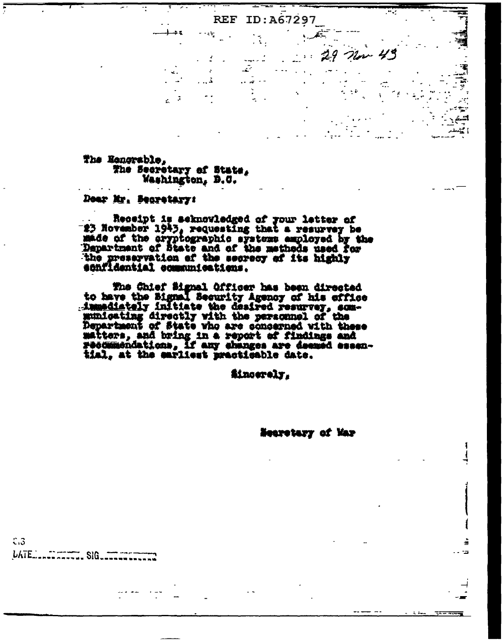The Honorable, The Secretary of State, Washington, D.C.

U.

 $\mathbb{R}^{n-1}$ 

Doar Mr. Searetary:

Receipt is acknowledged of your letter of<br>23 November 1943, requesting that a resurvey be<br>made of the cryptographic systems employed by the<br>Department of State and of the methods used for<br>the preservation of the secrecy of sonfidential communications.

**REF** 

 $\mathbf{r}$ 

 $\sim$  -  $\epsilon_{\rm T}$ 

 $\ldots$ 

ID:A67297

The Chief Signal Officer has been directed<br>to have the Signal Security Agency of his cffice immediately initiate the desired resurvey, som-<br>municating directly with the personnel of the<br>Department of State who are concerned with these matters, and bring in a report of findings and recommendations, if any changes are deemed essen-<br>tial, at the earliest practicable date.

**ithoerely.** 

Nearotary of Mar

 $\mathfrak{c} \mathfrak{z}$ LATE \_\_\_\_\_\_\_\_\_\_\_\_\_ SIG\_\_\_\_\_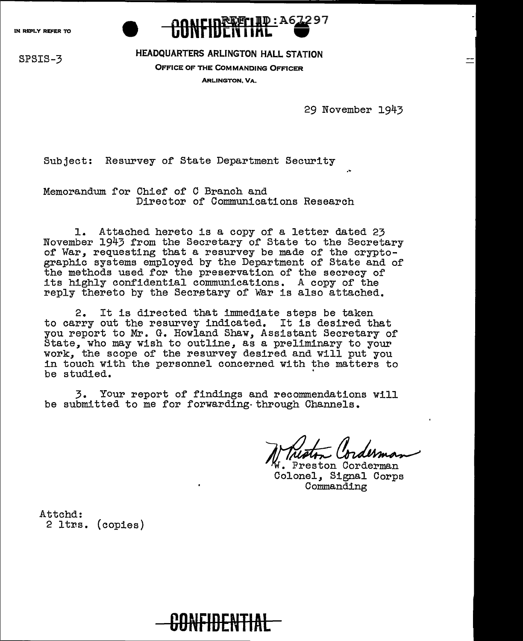

## SPSIS-3 HEADQUARTERS ARLINGTON HALL STATION

OFFICE OF THE COMMANDING OFFICER ARLINGTON, VA.

29 November 1943

Subject: Resurvey of State Department Security

Memorandum for Chief of C Branch and Director of Communications Research

1. Attached hereto is a copy of a letter dated 23<br>November 1943 from the Secretary of State to the Secretary of War, requesting that a resurvey be made of the cryptographic systems employed by the Department of State and of the methods used for the preservation of the secrecy of its highly confidential communications. A copy of the reply thereto by the Secretary of War is also attached.

2. It is directed that immediate steps be taken to carry out the resurvey indicated. It is desired that you report to Mr. G. Howland Shaw, Assistant Secretary of State, who may wish to outline, as a preliminary to your work, the scope of the resurvey desired and will put you in touch with the personnel concerned with the matters to be studied.

3. Your report of findings and recommendations will be submitted to me for forwarding-through Channels.

W. Preston Corderman Colonel, Signal Corps Commanding

Attchd: 2 ltrs. (copies)

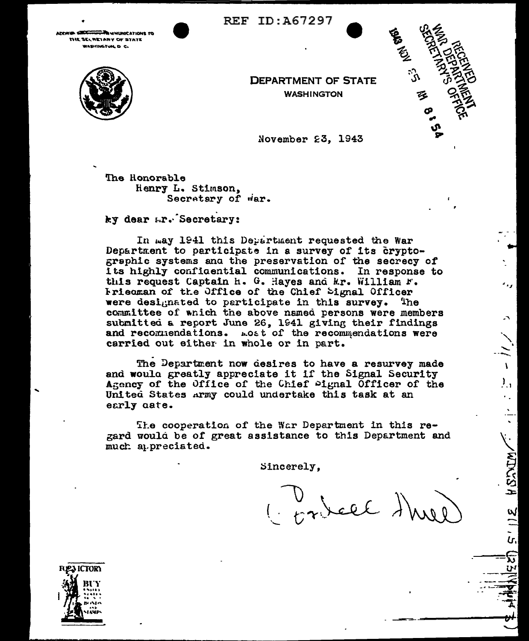**REF ID: A67297** 

**THE WINDHOCATIONS TO** arveta dia THE SECRETARY OF STATE WASHINGTUN, D. C.





**DEPARTMENT OF STATE WASHINGTON** 

November 23, 1943

The Honorable Henry L. Stimson, Secretary of war.

ky dear Lr. Secretary:

In may 1941 this Department requested the War Department to participate in a survey of its cryptographic systems and the preservation of the secrecy of its highly confidential communications. In response to this request Captain h. G. Hayes and Mr. William F. Friedman of the Office of the Chief Signal Officer were designated to participate in this survey. **The** committee of which the above named persons were members submitted a report June 26, 1941 giving their findings and recommendations. Lost of the recommendations were carried out either in whole or in part.

The Department now desires to have a resurvey made and would greatly appreciate it if the Signal Security Agency of the Office of the Chief Pignal Officer of the United States Army could undertake this task at an early aate.

The cooperation of the War Department in this regard would be of great assistance to this Department and much appreciated.

Sincerely.

( orbell ) how

HSACTA

ฟ

tr.

ឆ

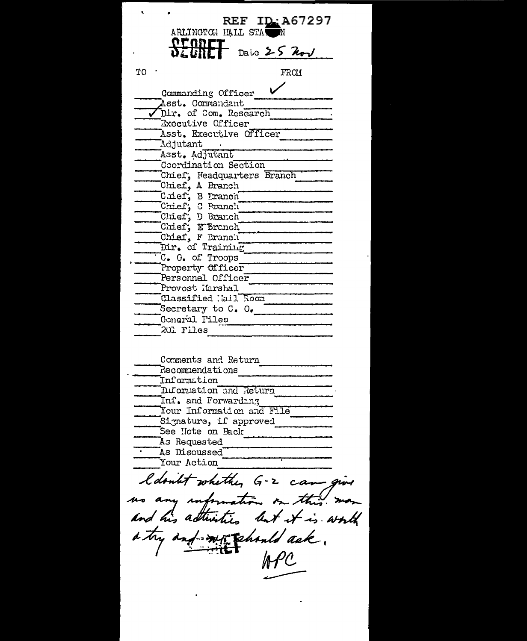|    | REF ID: A67297<br>ARLINGTON HALL STATEN             |
|----|-----------------------------------------------------|
|    | Daic $25$ hol                                       |
| тo | FRO1                                                |
|    | Commanding Officer                                  |
|    | Asst. Commandant                                    |
|    | Dir. of Com. Research                               |
|    | Execulive Officer                                   |
|    | Asst. Executive Officer<br>Adjutant                 |
|    | Asst. Adjutant                                      |
|    | Coordination Section                                |
|    | Chief, Headquarters Branch                          |
|    | Chief, A Branch                                     |
|    | Cuief, B Eranch                                     |
|    | Chief, C Branch                                     |
|    | Chief, D Branch                                     |
|    | Chief; E Branch<br>Chief, F Branch                  |
|    | Dir. of Training                                    |
|    | C. G. of Troops                                     |
|    | Property Officer                                    |
|    | Personnel Officer                                   |
|    | Provost Ifarshal                                    |
|    | Classified Mail Room                                |
|    | Secretary to C. O.<br>Gonoral Tiles                 |
|    | 201 Files                                           |
|    |                                                     |
|    | Comments and Return                                 |
|    | Recommendations                                     |
|    | .<br>Information                                    |
|    | Information and Return                              |
|    | Inf. and Forwarding                                 |
|    | Your Information and File<br>Signature, if approved |
|    | See Hote on Back                                    |
|    | As Requested                                        |
|    | As Discussed                                        |
|    | Your Action                                         |
|    | ldoubt whether G-2 cam give                         |
|    | no any information on this.                         |
|    | and his attinities but it is worth                  |
|    |                                                     |
|    | a try and my phont ask.                             |
|    | $\mathcal{A}\mathcal{C}$                            |
|    |                                                     |

 $\epsilon$ 

ï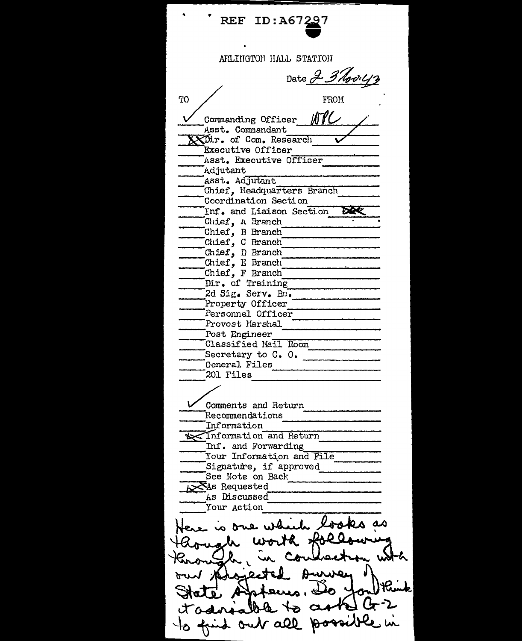REF ID: A67297 ARLINGTON HALL STATION Date 2 3 Novil12 TO FROM ボイン Commanding Officer Asst. Commandant XXDir. of Com. Research Executive Officer Asst. Executive Officer Adjutant Asst. Adjutant Chief, Headquarters Branch Coordination Section **DRE** Inf. and Liaison Section Chief, A Branch Chief, B Branch Chief, C Branch Chief, D Branch Chief, E Branch Chief, F Branch Dir. of Training 2d Sig. Serv. Bn. Property Officer Personnel Officer Provost Marshal Post Engineer Classified Mail Room General Files 201 Files Comments and Return Recommendations Information Information and Return Inf. and Forwarding Your Information and File Signature, if approved See Note on Back XAs Requested As Discussed Your Action out all